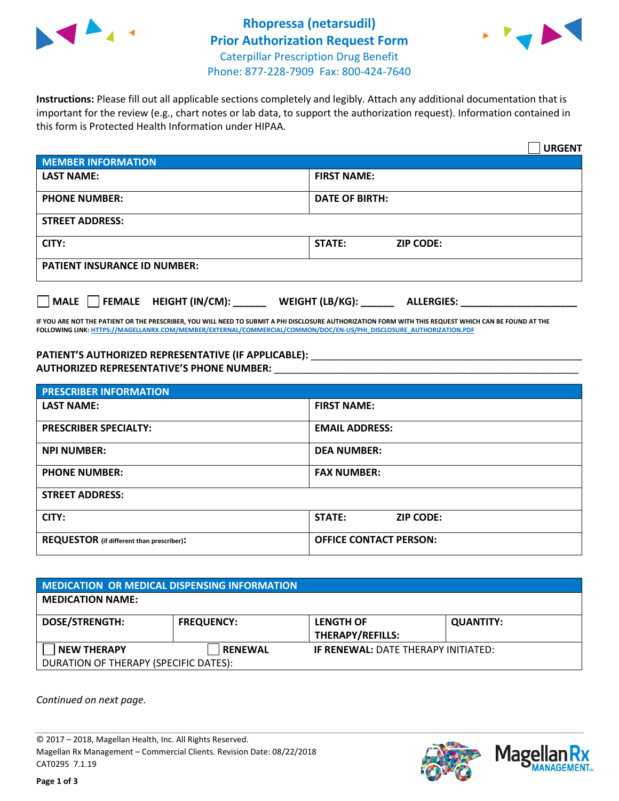



**Instructions:** Please fill out all applicable sections completely and legibly. Attach any additional documentation that is important for the review (e.g., chart notes or lab data, to support the authorization request). Information contained in this form is Protected Health Information under HIPAA.

|                                                | <b>URGENT</b>                          |
|------------------------------------------------|----------------------------------------|
| <b>MEMBER INFORMATION</b>                      |                                        |
| <b>LAST NAME:</b>                              | <b>FIRST NAME:</b>                     |
| <b>PHONE NUMBER:</b>                           | <b>DATE OF BIRTH:</b>                  |
| <b>STREET ADDRESS:</b>                         |                                        |
| CITY:                                          | STATE:<br><b>ZIP CODE:</b>             |
| <b>PATIENT INSURANCE ID NUMBER:</b>            |                                        |
| $\Box$ FEMALE HEIGHT (IN/CM): _<br><b>MALE</b> | WEIGHT (LB/KG): _<br><b>ALLERGIES:</b> |

**IF YOU ARE NOT THE PATIENT OR THE PRESCRIBER, YOU WILL NEED TO SUBMIT A PHI DISCLOSURE AUTHORIZATION FORM WITH THIS REQUEST WHICH CAN BE FOUND AT THE FOLLOWING LINK[: HTTPS://MAGELLANRX.COM/MEMBER/EXTERNAL/COMMERCIAL/COMMON/DOC/EN-US/PHI\\_DISCLOSURE\\_AUTHORIZATION.PDF](https://magellanrx.com/member/external/commercial/common/doc/en-us/PHI_Disclosure_Authorization.pdf)**

PATIENT'S AUTHORIZED REPRESENTATIVE (IF APPLICABLE): \_\_\_\_\_\_\_\_\_\_\_\_\_\_\_\_\_\_\_\_\_\_\_\_\_\_\_ **AUTHORIZED REPRESENTATIVE'S PHONE NUMBER:** \_\_\_\_\_\_\_\_\_\_\_\_\_\_\_\_\_\_\_\_\_\_\_\_\_\_\_\_\_\_\_\_\_\_\_\_\_\_\_\_\_\_\_\_\_\_\_\_\_\_\_\_\_\_\_

| <b>PRESCRIBER INFORMATION</b>             |                                   |  |
|-------------------------------------------|-----------------------------------|--|
| <b>LAST NAME:</b>                         | <b>FIRST NAME:</b>                |  |
| <b>PRESCRIBER SPECIALTY:</b>              | <b>EMAIL ADDRESS:</b>             |  |
| <b>NPI NUMBER:</b>                        | <b>DEA NUMBER:</b>                |  |
| <b>PHONE NUMBER:</b>                      | <b>FAX NUMBER:</b>                |  |
| <b>STREET ADDRESS:</b>                    |                                   |  |
| CITY:                                     | <b>STATE:</b><br><b>ZIP CODE:</b> |  |
| REQUESTOR (if different than prescriber): | <b>OFFICE CONTACT PERSON:</b>     |  |

| <b>MEDICATION OR MEDICAL DISPENSING INFORMATION</b> |                   |                                            |                  |  |  |
|-----------------------------------------------------|-------------------|--------------------------------------------|------------------|--|--|
| <b>MEDICATION NAME:</b>                             |                   |                                            |                  |  |  |
| <b>DOSE/STRENGTH:</b>                               | <b>FREQUENCY:</b> | <b>LENGTH OF</b>                           | <b>QUANTITY:</b> |  |  |
|                                                     |                   | <b>THERAPY/REFILLS:</b>                    |                  |  |  |
| <b>NEW THERAPY</b>                                  | <b>RENEWAL</b>    | <b>IF RENEWAL: DATE THERAPY INITIATED:</b> |                  |  |  |
| DURATION OF THERAPY (SPECIFIC DATES):               |                   |                                            |                  |  |  |

*Continued on next page.*

© 2017 – 2018, Magellan Health, Inc. All Rights Reserved. Magellan Rx Management – Commercial Clients. Revision Date: 08/22/2018 CAT0295 7.1.19



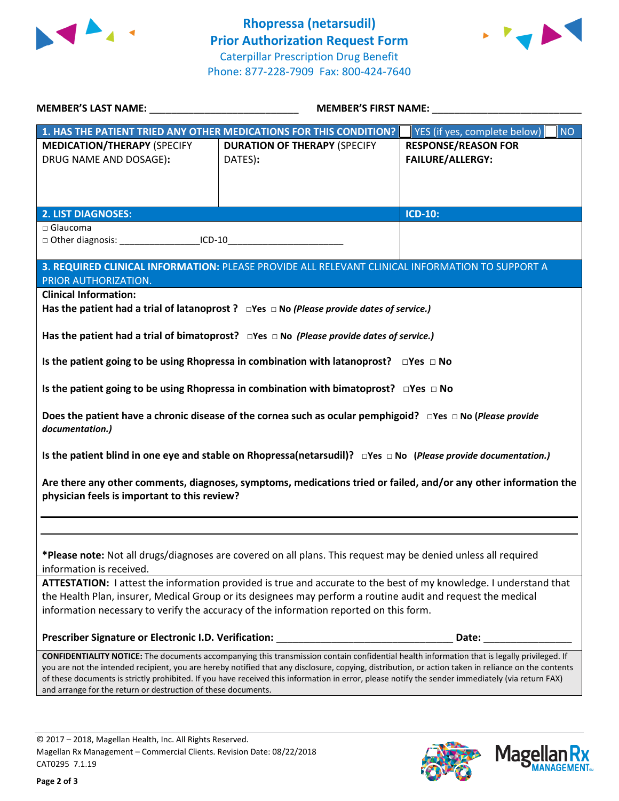



| <b>MEDICATION/THERAPY (SPECIFY</b><br>DRUG NAME AND DOSAGE):<br><b>2. LIST DIAGNOSES:</b><br>□ Glaucoma                                                                                                                                                                                                 | 1. HAS THE PATIENT TRIED ANY OTHER MEDICATIONS FOR THIS CONDITION?<br><b>DURATION OF THERAPY (SPECIFY</b><br>DATES):                        | YES (if yes, complete below)<br><b>NO</b><br><b>RESPONSE/REASON FOR</b><br><b>FAILURE/ALLERGY:</b><br><b>ICD-10:</b> |  |  |  |
|---------------------------------------------------------------------------------------------------------------------------------------------------------------------------------------------------------------------------------------------------------------------------------------------------------|---------------------------------------------------------------------------------------------------------------------------------------------|----------------------------------------------------------------------------------------------------------------------|--|--|--|
|                                                                                                                                                                                                                                                                                                         |                                                                                                                                             |                                                                                                                      |  |  |  |
|                                                                                                                                                                                                                                                                                                         |                                                                                                                                             |                                                                                                                      |  |  |  |
|                                                                                                                                                                                                                                                                                                         |                                                                                                                                             |                                                                                                                      |  |  |  |
|                                                                                                                                                                                                                                                                                                         |                                                                                                                                             |                                                                                                                      |  |  |  |
|                                                                                                                                                                                                                                                                                                         |                                                                                                                                             |                                                                                                                      |  |  |  |
|                                                                                                                                                                                                                                                                                                         |                                                                                                                                             |                                                                                                                      |  |  |  |
| □ Other diagnosis: _______________________ICD-10________________________________                                                                                                                                                                                                                        |                                                                                                                                             |                                                                                                                      |  |  |  |
|                                                                                                                                                                                                                                                                                                         |                                                                                                                                             |                                                                                                                      |  |  |  |
| 3. REQUIRED CLINICAL INFORMATION: PLEASE PROVIDE ALL RELEVANT CLINICAL INFORMATION TO SUPPORT A<br>PRIOR AUTHORIZATION.                                                                                                                                                                                 |                                                                                                                                             |                                                                                                                      |  |  |  |
| <b>Clinical Information:</b>                                                                                                                                                                                                                                                                            |                                                                                                                                             |                                                                                                                      |  |  |  |
|                                                                                                                                                                                                                                                                                                         | Has the patient had a trial of latanoprost ? $\Box$ Yes $\Box$ No (Please provide dates of service.)                                        |                                                                                                                      |  |  |  |
| Has the patient had a trial of bimatoprost? $\Box$ Yes $\Box$ No (Please provide dates of service.)                                                                                                                                                                                                     |                                                                                                                                             |                                                                                                                      |  |  |  |
|                                                                                                                                                                                                                                                                                                         |                                                                                                                                             |                                                                                                                      |  |  |  |
|                                                                                                                                                                                                                                                                                                         | Is the patient going to be using Rhopressa in combination with latanoprost? $\square$ Yes $\square$ No                                      |                                                                                                                      |  |  |  |
|                                                                                                                                                                                                                                                                                                         | Is the patient going to be using Rhopressa in combination with bimatoprost? $\square$ Yes $\square$ No                                      |                                                                                                                      |  |  |  |
|                                                                                                                                                                                                                                                                                                         |                                                                                                                                             |                                                                                                                      |  |  |  |
| Does the patient have a chronic disease of the cornea such as ocular pemphigoid? □ Yes □ No (Please provide<br>documentation.)                                                                                                                                                                          |                                                                                                                                             |                                                                                                                      |  |  |  |
|                                                                                                                                                                                                                                                                                                         | Is the patient blind in one eye and stable on Rhopressa(netarsudil)? $\Box$ Yes $\Box$ No (Please provide documentation.)                   |                                                                                                                      |  |  |  |
|                                                                                                                                                                                                                                                                                                         | Are there any other comments, diagnoses, symptoms, medications tried or failed, and/or any other information the                            |                                                                                                                      |  |  |  |
| physician feels is important to this review?                                                                                                                                                                                                                                                            |                                                                                                                                             |                                                                                                                      |  |  |  |
|                                                                                                                                                                                                                                                                                                         |                                                                                                                                             |                                                                                                                      |  |  |  |
|                                                                                                                                                                                                                                                                                                         |                                                                                                                                             |                                                                                                                      |  |  |  |
| information is received.                                                                                                                                                                                                                                                                                | *Please note: Not all drugs/diagnoses are covered on all plans. This request may be denied unless all required                              |                                                                                                                      |  |  |  |
|                                                                                                                                                                                                                                                                                                         | ATTESTATION: I attest the information provided is true and accurate to the best of my knowledge. I understand that                          |                                                                                                                      |  |  |  |
|                                                                                                                                                                                                                                                                                                         | the Health Plan, insurer, Medical Group or its designees may perform a routine audit and request the medical                                |                                                                                                                      |  |  |  |
|                                                                                                                                                                                                                                                                                                         | information necessary to verify the accuracy of the information reported on this form.                                                      |                                                                                                                      |  |  |  |
|                                                                                                                                                                                                                                                                                                         |                                                                                                                                             |                                                                                                                      |  |  |  |
|                                                                                                                                                                                                                                                                                                         | CONFIDENTIALITY NOTICE: The documents accompanying this transmission contain confidential health information that is legally privileged. If |                                                                                                                      |  |  |  |
| you are not the intended recipient, you are hereby notified that any disclosure, copying, distribution, or action taken in reliance on the contents<br>of these documents is strictly prohibited. If you have received this information in error, please notify the sender immediately (via return FAX) |                                                                                                                                             |                                                                                                                      |  |  |  |
|                                                                                                                                                                                                                                                                                                         | and arrange for the return or destruction of these documents.                                                                               |                                                                                                                      |  |  |  |
|                                                                                                                                                                                                                                                                                                         |                                                                                                                                             |                                                                                                                      |  |  |  |